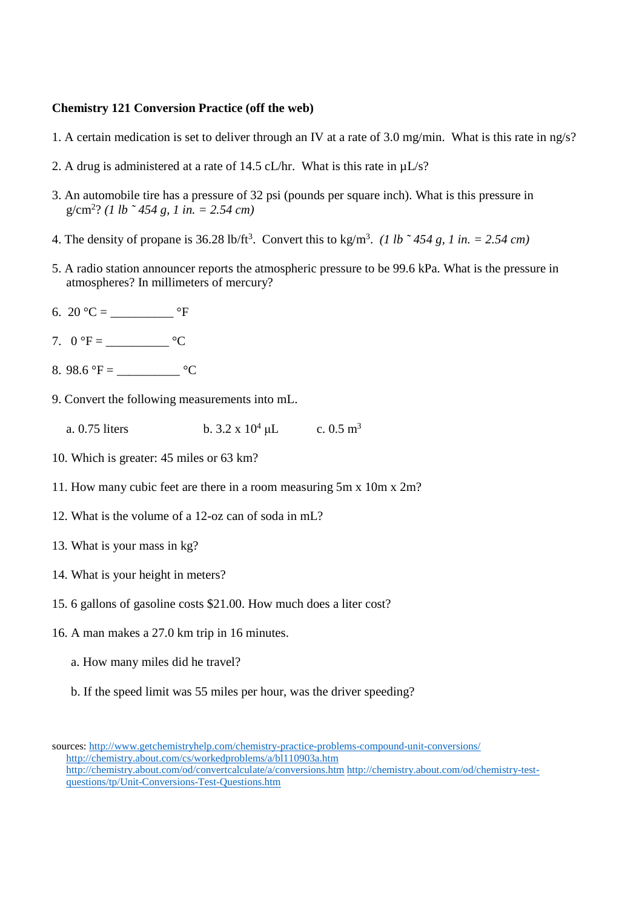## **Chemistry 121 Conversion Practice (off the web)**

- 1. A certain medication is set to deliver through an IV at a rate of 3.0 mg/min. What is this rate in ng/s?
- 2. A drug is administered at a rate of 14.5 cL/hr. What is this rate in  $\mu$ L/s?
- 3. An automobile tire has a pressure of 32 psi (pounds per square inch). What is this pressure in g/cm<sup>2</sup>? *(1 lb ˜ 454 g, 1 in. = 2.54 cm)*
- 4. The density of propane is  $36.28 \text{ lb/ft}^3$ . Convert this to kg/m<sup>3</sup>. (1 lb ~454 g, 1 in. =  $2.54 \text{ cm}$ )
- 5. A radio station announcer reports the atmospheric pressure to be 99.6 kPa. What is the pressure in atmospheres? In millimeters of mercury?
- 6. 20 °C =  ${}^{\circ}F$
- 7.  $0 \text{ }^{\circ}F =$   $^{\circ}C$
- 8. 98.6 °F =  $\frac{\text{°C}}{\text{°C}}$
- 9. Convert the following measurements into mL.
	- a. 0.75 liters b.  $3.2 \times 10^4 \,\mu L$  c.  $0.5 \text{ m}^3$
- 10. Which is greater: 45 miles or 63 km?
- 11. How many cubic feet are there in a room measuring 5m x 10m x 2m?
- 12. What is the volume of a 12-oz can of soda in mL?
- 13. What is your mass in kg?
- 14. What is your height in meters?
- 15. 6 gallons of gasoline costs \$21.00. How much does a liter cost?
- 16. A man makes a 27.0 km trip in 16 minutes.
	- a. How many miles did he travel?
	- b. If the speed limit was 55 miles per hour, was the driver speeding?

sources: http://www.getchemistryhelp.com/chemistry-practice-problems-compound-unit-conversions/ http://chemistry.about.com/cs/workedproblems/a/bl110903a.htm http://chemistry.about.com/od/convertcalculate/a/conversions.htm http://chemistry.about.com/od/chemistry-testquestions/tp/Unit-Conversions-Test-Questions.htm